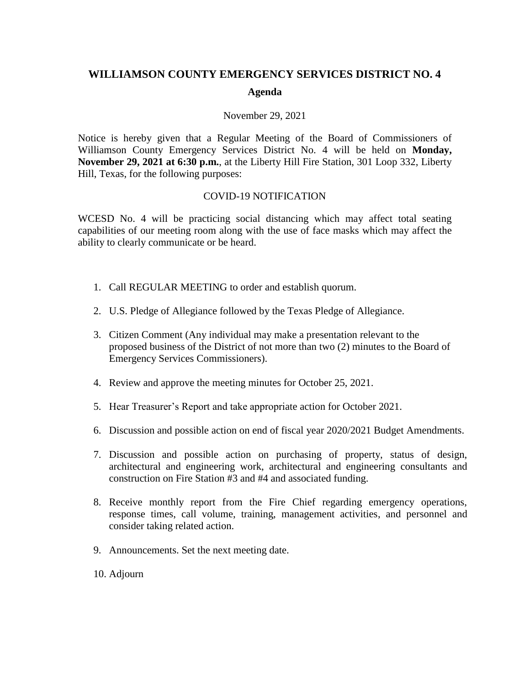## **WILLIAMSON COUNTY EMERGENCY SERVICES DISTRICT NO. 4 Agenda**

## November 29, 2021

Notice is hereby given that a Regular Meeting of the Board of Commissioners of Williamson County Emergency Services District No. 4 will be held on **Monday, November 29, 2021 at 6:30 p.m.**, at the Liberty Hill Fire Station, 301 Loop 332, Liberty Hill, Texas, for the following purposes:

## COVID-19 NOTIFICATION

WCESD No. 4 will be practicing social distancing which may affect total seating capabilities of our meeting room along with the use of face masks which may affect the ability to clearly communicate or be heard.

- 1. Call REGULAR MEETING to order and establish quorum.
- 2. U.S. Pledge of Allegiance followed by the Texas Pledge of Allegiance.
- 3. Citizen Comment (Any individual may make a presentation relevant to the proposed business of the District of not more than two (2) minutes to the Board of Emergency Services Commissioners).
- 4. Review and approve the meeting minutes for October 25, 2021.
- 5. Hear Treasurer's Report and take appropriate action for October 2021.
- 6. Discussion and possible action on end of fiscal year 2020/2021 Budget Amendments.
- 7. Discussion and possible action on purchasing of property, status of design, architectural and engineering work, architectural and engineering consultants and construction on Fire Station #3 and #4 and associated funding.
- 8. Receive monthly report from the Fire Chief regarding emergency operations, response times, call volume, training, management activities, and personnel and consider taking related action.
- 9. Announcements. Set the next meeting date.
- 10. Adjourn